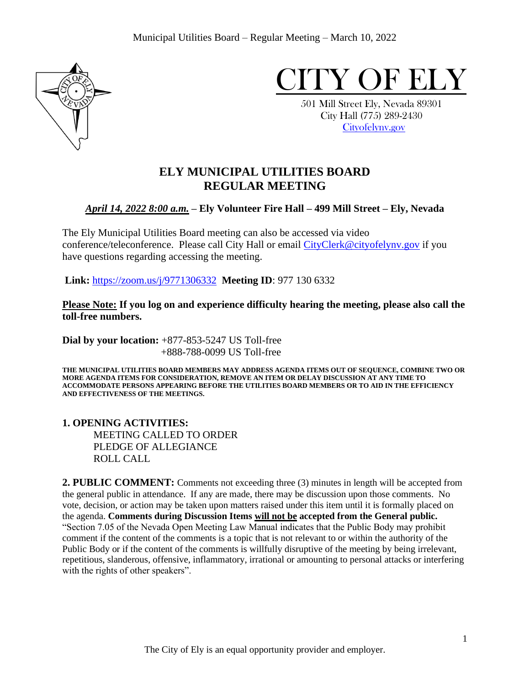



 501 Mill Street Ely, Nevada 89301 City Hall (775) 289-2430 [Cityofelynv.gov](mailto:Cityofelynv.gov) 

# **ELY MUNICIPAL UTILITIES BOARD REGULAR MEETING**

# *April 14, 2022 8:00 a.m.* **– Ely Volunteer Fire Hall – 499 Mill Street – Ely, Nevada**

The Ely Municipal Utilities Board meeting can also be accessed via video conference/teleconference. Please call City Hall or email [CityClerk@cityofelynv.gov](mailto:CityClerk@cityofelynv.gov) if you have questions regarding accessing the meeting.

**Link:** [https://zoom.us/j/9771306332](https://zoom.us/j/9771306332?status=success) **Meeting ID**: 977 130 6332

**Please Note: If you log on and experience difficulty hearing the meeting, please also call the toll-free numbers.** 

**Dial by your location:** +877-853-5247 US Toll-free +888-788-0099 US Toll-free

**THE MUNICIPAL UTILITIES BOARD MEMBERS MAY ADDRESS AGENDA ITEMS OUT OF SEQUENCE, COMBINE TWO OR MORE AGENDA ITEMS FOR CONSIDERATION, REMOVE AN ITEM OR DELAY DISCUSSION AT ANY TIME TO ACCOMMODATE PERSONS APPEARING BEFORE THE UTILITIES BOARD MEMBERS OR TO AID IN THE EFFICIENCY AND EFFECTIVENESS OF THE MEETINGS.**

### **1. OPENING ACTIVITIES:**  MEETING CALLED TO ORDER PLEDGE OF ALLEGIANCE ROLL CALL

**2. PUBLIC COMMENT:** Comments not exceeding three (3) minutes in length will be accepted from the general public in attendance. If any are made, there may be discussion upon those comments. No vote, decision, or action may be taken upon matters raised under this item until it is formally placed on the agenda. **Comments during Discussion Items will not be accepted from the General public.**  "Section 7.05 of the Nevada Open Meeting Law Manual indicates that the Public Body may prohibit comment if the content of the comments is a topic that is not relevant to or within the authority of the Public Body or if the content of the comments is willfully disruptive of the meeting by being irrelevant, repetitious, slanderous, offensive, inflammatory, irrational or amounting to personal attacks or interfering with the rights of other speakers".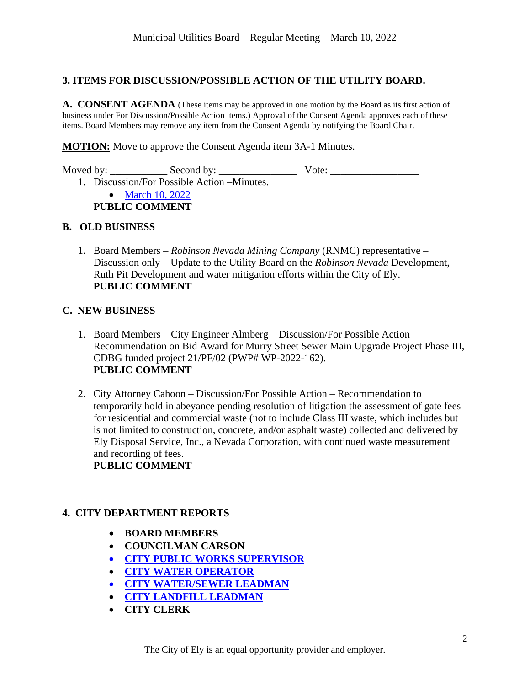## **3. ITEMS FOR DISCUSSION/POSSIBLE ACTION OF THE UTILITY BOARD.**

**A. CONSENT AGENDA** (These items may be approved in one motion by the Board as its first action of business under For Discussion/Possible Action items.) Approval of the Consent Agenda approves each of these items. Board Members may remove any item from the Consent Agenda by notifying the Board Chair.

**MOTION:** Move to approve the Consent Agenda item 3A-1 Minutes.

Moved by: \_\_\_\_\_\_\_\_\_\_\_ Second by: \_\_\_\_\_\_\_\_\_\_\_\_\_\_\_ Vote: \_\_\_\_\_\_\_\_\_\_\_\_\_\_\_\_\_ 1. Discussion/For Possible Action –Minutes.

• March [10, 2022](https://www.cityofelynv.gov/pdf/UtilityBoard2022/4-14-22/ub3-10-22meeting.pdf)

**PUBLIC COMMENT**

#### **B. OLD BUSINESS**

1. Board Members – *Robinson Nevada Mining Company* (RNMC) representative – Discussion only – Update to the Utility Board on the *Robinson Nevada* Development, Ruth Pit Development and water mitigation efforts within the City of Ely. **PUBLIC COMMENT**

## **C. NEW BUSINESS**

- 1. Board Members City Engineer Almberg Discussion/For Possible Action Recommendation on Bid Award for Murry Street Sewer Main Upgrade Project Phase III, CDBG funded project 21/PF/02 (PWP# WP-2022-162). **PUBLIC COMMENT**
- 2. City Attorney Cahoon Discussion/For Possible Action Recommendation to temporarily hold in abeyance pending resolution of litigation the assessment of gate fees for residential and commercial waste (not to include Class III waste, which includes but is not limited to construction, concrete, and/or asphalt waste) collected and delivered by Ely Disposal Service, Inc., a Nevada Corporation, with continued waste measurement and recording of fees. **PUBLIC COMMENT**

# **4. CITY DEPARTMENT REPORTS**

- **BOARD MEMBERS**
- **COUNCILMAN CARSON**
- **[CITY PUBLIC WORKS SUPERVISOR](https://www.cityofelynv.gov/pdf/UtilityBoard2022/4-14-22/Publicworkssupervisormarch22report.pdf)**
- **[CITY WATER OPERATOR](https://www.cityofelynv.gov/pdf/UtilityBoard2022/4-14-22/wateroperatorreportMarch22.pdf)**
- **[CITY WATER/SEWER](https://www.cityofelynv.gov/pdf/UtilityBoard2022/4-14-22/Water-SewerMarch22report.pdf) LEADMAN**
- **[CITY LANDFILL LEADMAN](https://www.cityofelynv.gov/pdf/UtilityBoard2022/4-14-22/Landfillmarch22report.pdf)**
- **CITY CLERK**